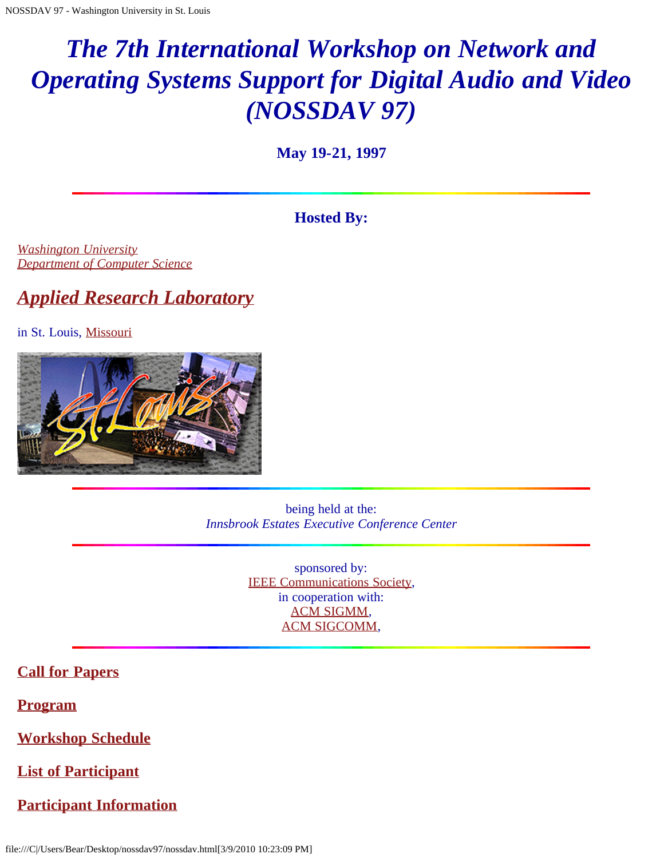# *The 7th International Workshop on Network and Operating Systems Support for Digital Audio and Video (NOSSDAV 97)*

**May 19-21, 1997**

### **Hosted By:**

*[Washington University](javascript:if(confirm() [Department of Computer Science](javascript:if(confirm()*

## *[Applied Research Laboratory](javascript:if(confirm()*

in St. Louis, [Missouri](javascript:if(confirm()



being held at the: *Innsbrook Estates Executive Conference Center*

> sponsored by: [IEEE Communications Society,](javascript:if(confirm() in cooperation with: [ACM SIGMM](javascript:if(confirm(), [ACM SIGCOMM,](javascript:if(confirm()

### **[Call for Papers](#page-2-0)**

**[Program](#page-6-0)**

**[Workshop Schedule](#page-9-0)**

**[List of Participant](#page-13-0)**

**[Participant Information](#page-24-0)**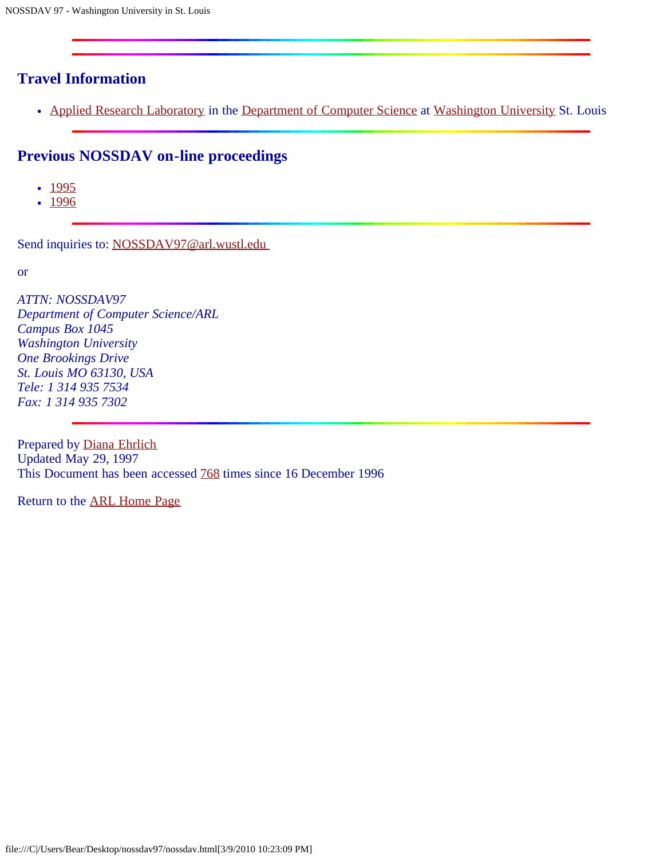### **Travel Information**

• [Applied Research Laboratory](javascript:if(confirm() in the [Department of Computer Science](javascript:if(confirm() at [Washington University](javascript:if(confirm() St. Louis

### **Previous NOSSDAV on-line proceedings**

- $1995$  $1995$
- $1996$  $1996$

Send inquiries to: NOSSDAV97@arl.wustl.edu

or

*ATTN: NOSSDAV97 Department of Computer Science/ARL Campus Box 1045 Washington University One Brookings Drive St. Louis MO 63130, USA Tele: 1 314 935 7534 Fax: 1 314 935 7302*

Prepared by [Diana Ehrlich](mailto:diana@arl.wustl.edu) Updated May 29, 1997 This Document has been accessed [768](javascript:if(confirm() times since 16 December 1996

Return to the [ARL Home Page](javascript:if(confirm()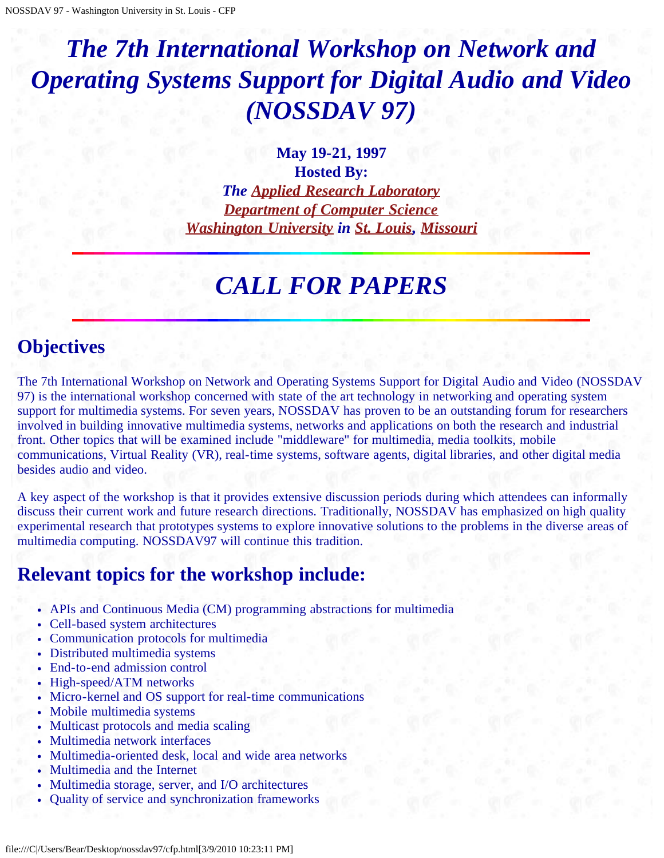# <span id="page-2-0"></span>*The 7th International Workshop on Network and Operating Systems Support for Digital Audio and Video (NOSSDAV 97)*

**May 19-21, 1997 Hosted By:** *The [Applied Research Laboratory](javascript:if(confirm() [Department of Computer Science](javascript:if(confirm() [Washington University](javascript:if(confirm() in [St. Louis](javascript:if(confirm(), [Missouri](javascript:if(confirm()*

## *CALL FOR PAPERS*

## **Objectives**

The 7th International Workshop on Network and Operating Systems Support for Digital Audio and Video (NOSSDAV 97) is the international workshop concerned with state of the art technology in networking and operating system support for multimedia systems. For seven years, NOSSDAV has proven to be an outstanding forum for researchers involved in building innovative multimedia systems, networks and applications on both the research and industrial front. Other topics that will be examined include "middleware" for multimedia, media toolkits, mobile communications, Virtual Reality (VR), real-time systems, software agents, digital libraries, and other digital media besides audio and video.

A key aspect of the workshop is that it provides extensive discussion periods during which attendees can informally discuss their current work and future research directions. Traditionally, NOSSDAV has emphasized on high quality experimental research that prototypes systems to explore innovative solutions to the problems in the diverse areas of multimedia computing. NOSSDAV97 will continue this tradition.

## **Relevant topics for the workshop include:**

- APIs and Continuous Media (CM) programming abstractions for multimedia
- Cell-based system architectures
- Communication protocols for multimedia
- Distributed multimedia systems
- End-to-end admission control
- High-speed/ATM networks
- Micro-kernel and OS support for real-time communications
- Mobile multimedia systems
- Multicast protocols and media scaling
- Multimedia network interfaces
- Multimedia-oriented desk, local and wide area networks
- Multimedia and the Internet
- Multimedia storage, server, and I/O architectures
- Quality of service and synchronization frameworks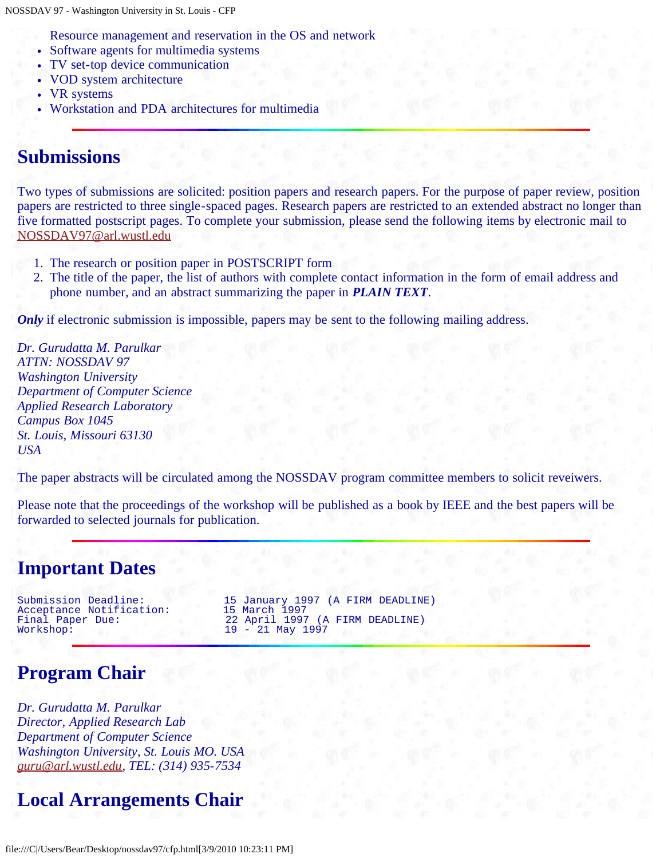Resource management and reservation in the OS and network

- Software agents for multimedia systems
- TV set-top device communication
- VOD system architecture
- VR systems
- Workstation and PDA architectures for multimedia

### **Submissions**

Two types of submissions are solicited: position papers and research papers. For the purpose of paper review, position papers are restricted to three single-spaced pages. Research papers are restricted to an extended abstract no longer than five formatted postscript pages. To complete your submission, please send the following items by electronic mail to [NOSSDAV97@arl.wustl.edu](mailto:NOSSDAV97@arl.wustl.edu)

- 1. The research or position paper in POSTSCRIPT form
- 2. The title of the paper, the list of authors with complete contact information in the form of email address and phone number, and an abstract summarizing the paper in *PLAIN TEXT*.

*Only* if electronic submission is impossible, papers may be sent to the following mailing address.

*Dr. Gurudatta M. Parulkar ATTN: NOSSDAV 97 Washington University Department of Computer Science Applied Research Laboratory Campus Box 1045 St. Louis, Missouri 63130 USA*

The paper abstracts will be circulated among the NOSSDAV program committee members to solicit reveiwers.

Please note that the proceedings of the workshop will be published as a book by IEEE and the best papers will be forwarded to selected journals for publication.

## **Important Dates**

Acceptance Notification:<br>Final Paper Due:

Submission Deadline: 15 January 1997 (A FIRM DEADLINE) Final Paper Due: 22 April 1997 (A FIRM DEADLINE)<br>Workshop: 19 - 21 May 1997 19 - 21 May 1997

## **Program Chair**

*Dr. Gurudatta M. Parulkar Director, Applied Research Lab Department of Computer Science Washington University, St. Louis MO. USA [guru@arl.wustl.edu,](mailto:guru@arl.wustl.edu) TEL: (314) 935-7534*

## **Local Arrangements Chair**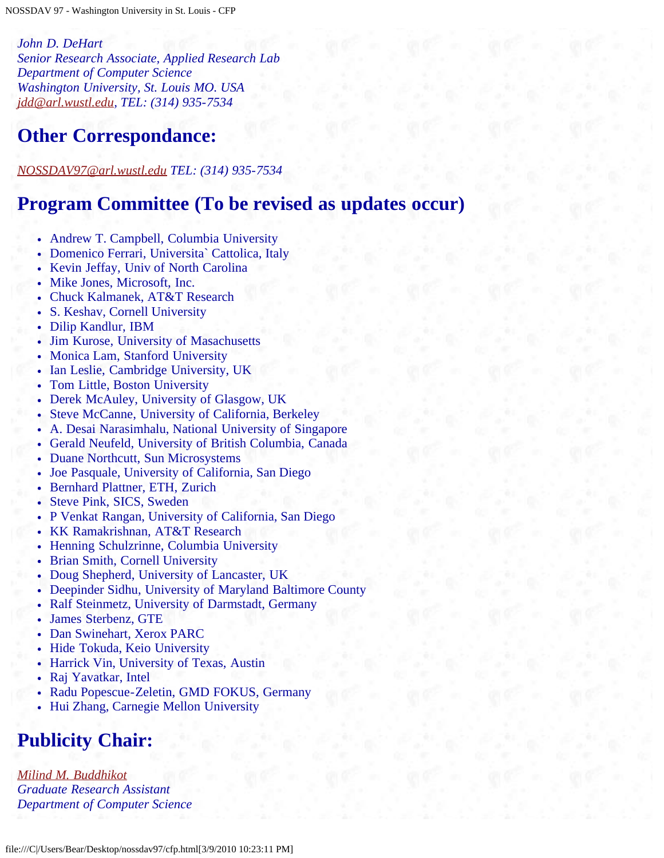*John D. DeHart Senior Research Associate, Applied Research Lab Department of Computer Science Washington University, St. Louis MO. USA [jdd@arl.wustl.edu](mailto:jdd@arl.wustl.edu), TEL: (314) 935-7534*

## **Other Correspondance:**

*[NOSSDAV97@arl.wustl.edu](mailto:NOSSDAV97@arl.wustl.edu) TEL: (314) 935-7534*

### **Program Committee (To be revised as updates occur)**

- Andrew T. Campbell, Columbia University
- Domenico Ferrari, Universita` Cattolica, Italy
- Kevin Jeffay, Univ of North Carolina
- Mike Jones, Microsoft, Inc.
- Chuck Kalmanek, AT&T Research
- S. Keshav, Cornell University
- Dilip Kandlur, IBM
- Jim Kurose, University of Masachusetts
- Monica Lam, Stanford University
- Ian Leslie, Cambridge University, UK
- Tom Little, Boston University
- Derek McAuley, University of Glasgow, UK
- Steve McCanne, University of California, Berkeley
- A. Desai Narasimhalu, National University of Singapore
- Gerald Neufeld, University of British Columbia, Canada
- Duane Northcutt, Sun Microsystems
- Joe Pasquale, University of California, San Diego
- Bernhard Plattner, ETH, Zurich
- Steve Pink, SICS, Sweden
- P Venkat Rangan, University of California, San Diego
- KK Ramakrishnan, AT&T Research
- Henning Schulzrinne, Columbia University
- Brian Smith, Cornell University
- Doug Shepherd, University of Lancaster, UK
- Deepinder Sidhu, University of Maryland Baltimore County
- Ralf Steinmetz, University of Darmstadt, Germany
- James Sterbenz, GTE
- Dan Swinehart, Xerox PARC
- Hide Tokuda, Keio University
- Harrick Vin, University of Texas, Austin
- Raj Yavatkar, Intel
- Radu Popescue-Zeletin, GMD FOKUS, Germany
- Hui Zhang, Carnegie Mellon University

## **Publicity Chair:**

*[Milind M. Buddhikot](mailto:milind@dworkin.wustl.edu) Graduate Research Assistant Department of Computer Science*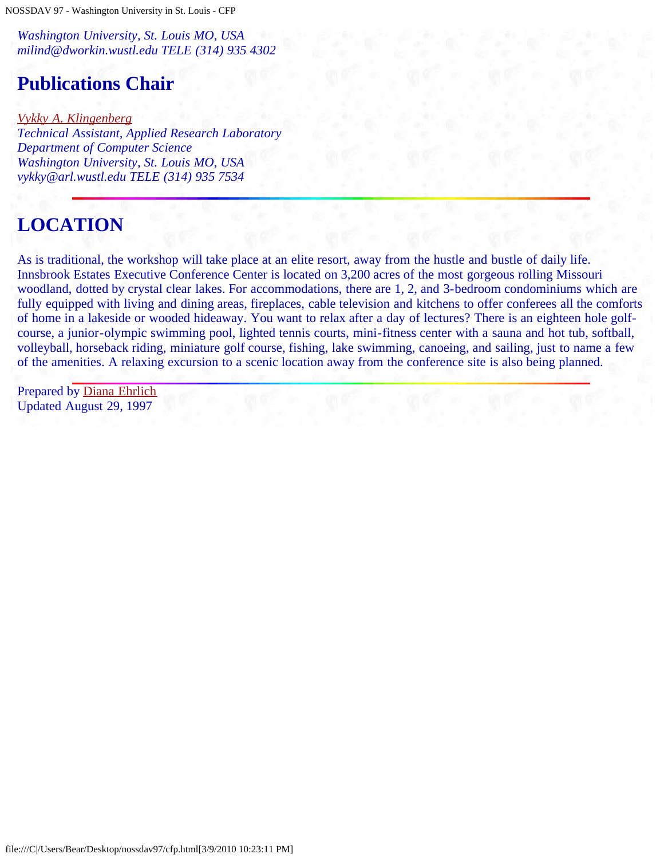NOSSDAV 97 - Washington University in St. Louis - CFP

*Washington University, St. Louis MO, USA milind@dworkin.wustl.edu TELE (314) 935 4302*

## **Publications Chair**

*[Vykky A. Klingenberg](mailto:vykky@arl.wustl.edu) Technical Assistant, Applied Research Laboratory Department of Computer Science Washington University, St. Louis MO, USA vykky@arl.wustl.edu TELE (314) 935 7534*

## **LOCATION**

As is traditional, the workshop will take place at an elite resort, away from the hustle and bustle of daily life. Innsbrook Estates Executive Conference Center is located on 3,200 acres of the most gorgeous rolling Missouri woodland, dotted by crystal clear lakes. For accommodations, there are 1, 2, and 3-bedroom condominiums which are fully equipped with living and dining areas, fireplaces, cable television and kitchens to offer conferees all the comforts of home in a lakeside or wooded hideaway. You want to relax after a day of lectures? There is an eighteen hole golfcourse, a junior-olympic swimming pool, lighted tennis courts, mini-fitness center with a sauna and hot tub, softball, volleyball, horseback riding, miniature golf course, fishing, lake swimming, canoeing, and sailing, just to name a few of the amenities. A relaxing excursion to a scenic location away from the conference site is also being planned.

Prepared by [Diana Ehrlich](mailto:diana@arl.wustl.edu) Updated August 29, 1997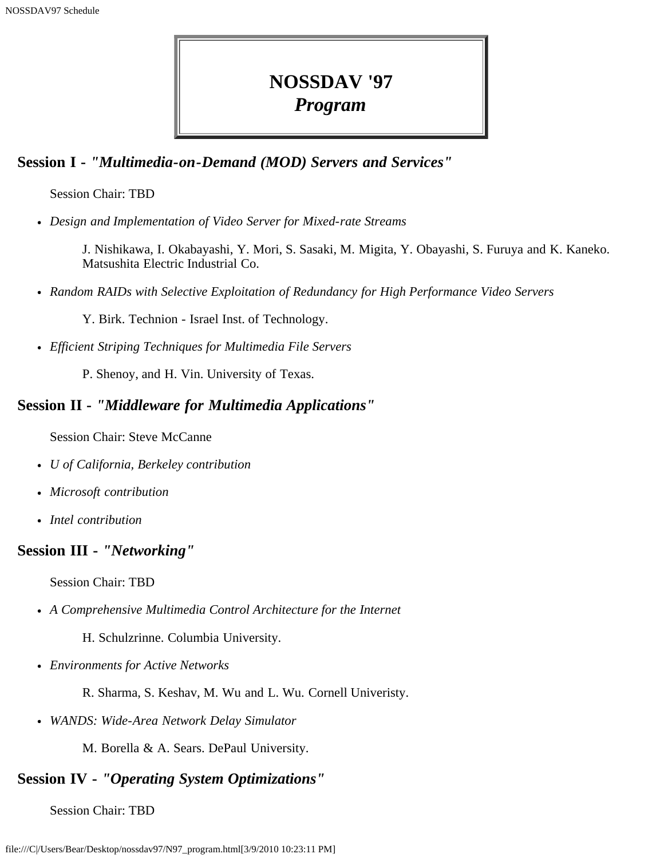## **NOSSDAV '97** *Program*

### <span id="page-6-0"></span>**Session I -** *"Multimedia-on-Demand (MOD) Servers and Services"*

Session Chair: TBD

*Design and Implementation of Video Server for Mixed-rate Streams*

J. Nishikawa, I. Okabayashi, Y. Mori, S. Sasaki, M. Migita, Y. Obayashi, S. Furuya and K. Kaneko. Matsushita Electric Industrial Co.

*Random RAIDs with Selective Exploitation of Redundancy for High Performance Video Servers*

Y. Birk. Technion - Israel Inst. of Technology.

*Efficient Striping Techniques for Multimedia File Servers*

P. Shenoy, and H. Vin. University of Texas.

### **Session II -** *"Middleware for Multimedia Applications"*

Session Chair: Steve McCanne

- *U of California, Berkeley contribution*
- *Microsoft contribution*
- *Intel contribution*

### **Session III -** *"Networking"*

Session Chair: TBD

*A Comprehensive Multimedia Control Architecture for the Internet*

H. Schulzrinne. Columbia University.

*Environments for Active Networks*

R. Sharma, S. Keshav, M. Wu and L. Wu. Cornell Univeristy.

*WANDS: Wide-Area Network Delay Simulator*

M. Borella & A. Sears. DePaul University.

### **Session IV -** *"Operating System Optimizations"*

Session Chair: TBD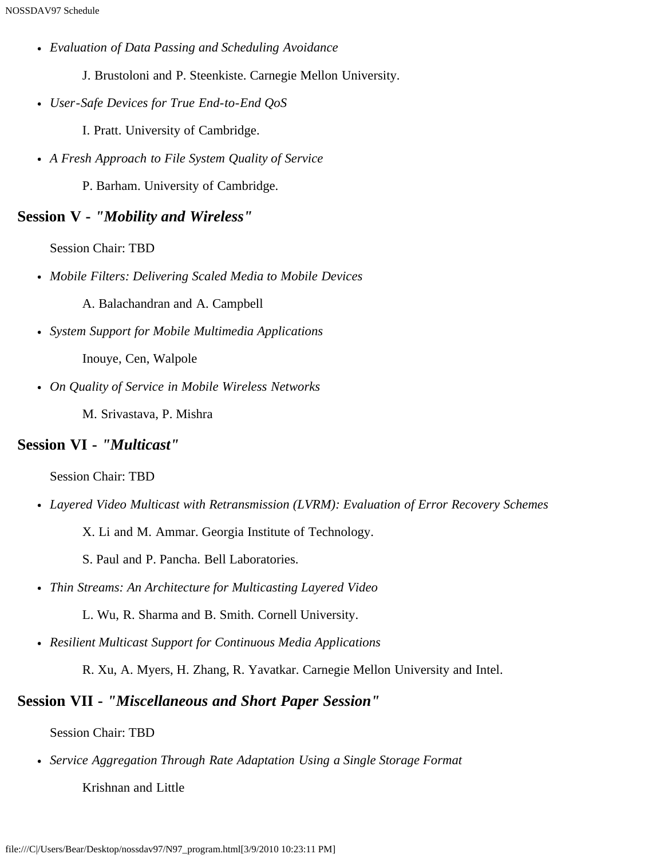- *Evaluation of Data Passing and Scheduling Avoidance*
	- J. Brustoloni and P. Steenkiste. Carnegie Mellon University.
- *User-Safe Devices for True End-to-End QoS*
	- I. Pratt. University of Cambridge.
- *A Fresh Approach to File System Quality of Service*
	- P. Barham. University of Cambridge.

### **Session V -** *"Mobility and Wireless"*

Session Chair: TBD

*Mobile Filters: Delivering Scaled Media to Mobile Devices*

A. Balachandran and A. Campbell

- *System Support for Mobile Multimedia Applications* Inouye, Cen, Walpole
- *On Quality of Service in Mobile Wireless Networks*

M. Srivastava, P. Mishra

#### **Session VI -** *"Multicast"*

Session Chair: TBD

- *Layered Video Multicast with Retransmission (LVRM): Evaluation of Error Recovery Schemes*
	- X. Li and M. Ammar. Georgia Institute of Technology.
	- S. Paul and P. Pancha. Bell Laboratories.
- *Thin Streams: An Architecture for Multicasting Layered Video*
	- L. Wu, R. Sharma and B. Smith. Cornell University.
- *Resilient Multicast Support for Continuous Media Applications*

R. Xu, A. Myers, H. Zhang, R. Yavatkar. Carnegie Mellon University and Intel.

### **Session VII -** *"Miscellaneous and Short Paper Session"*

Session Chair: TBD

*Service Aggregation Through Rate Adaptation Using a Single Storage Format*

Krishnan and Little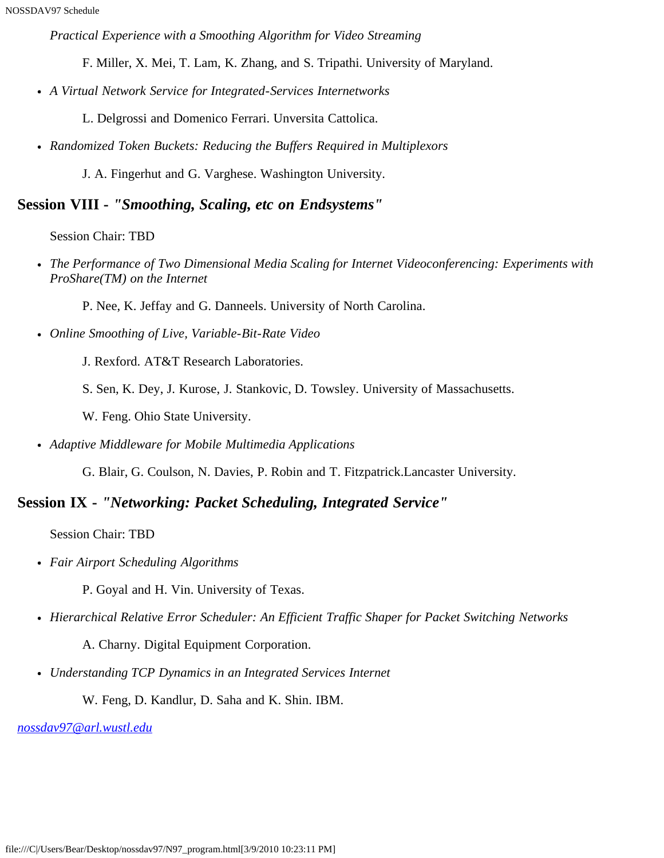*Practical Experience with a Smoothing Algorithm for Video Streaming*

F. Miller, X. Mei, T. Lam, K. Zhang, and S. Tripathi. University of Maryland.

*A Virtual Network Service for Integrated-Services Internetworks*

L. Delgrossi and Domenico Ferrari. Unversita Cattolica.

*Randomized Token Buckets: Reducing the Buffers Required in Multiplexors*

J. A. Fingerhut and G. Varghese. Washington University.

#### **Session VIII -** *"Smoothing, Scaling, etc on Endsystems"*

Session Chair: TBD

- *The Performance of Two Dimensional Media Scaling for Internet Videoconferencing: Experiments with ProShare(TM) on the Internet*
	- P. Nee, K. Jeffay and G. Danneels. University of North Carolina.
- *Online Smoothing of Live, Variable-Bit-Rate Video*

J. Rexford. AT&T Research Laboratories.

S. Sen, K. Dey, J. Kurose, J. Stankovic, D. Towsley. University of Massachusetts.

W. Feng. Ohio State University.

*Adaptive Middleware for Mobile Multimedia Applications*

G. Blair, G. Coulson, N. Davies, P. Robin and T. Fitzpatrick.Lancaster University.

### **Session IX -** *"Networking: Packet Scheduling, Integrated Service"*

Session Chair: TBD

*Fair Airport Scheduling Algorithms*

P. Goyal and H. Vin. University of Texas.

*Hierarchical Relative Error Scheduler: An Efficient Traffic Shaper for Packet Switching Networks*

A. Charny. Digital Equipment Corporation.

*Understanding TCP Dynamics in an Integrated Services Internet*

W. Feng, D. Kandlur, D. Saha and K. Shin. IBM.

*[nossdav97@arl.wustl.edu](mailto:nossdav97@arl.wustl.edu)*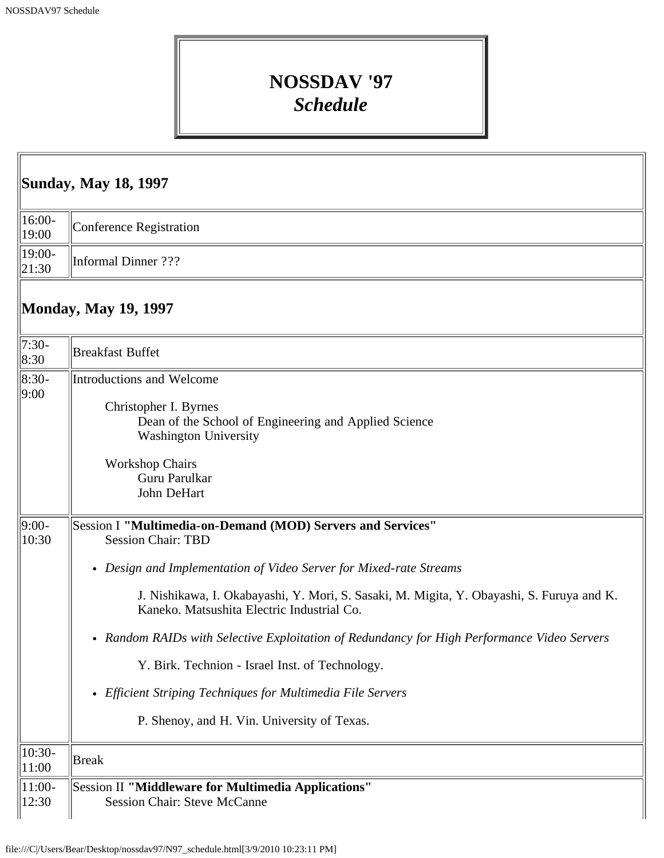## **NOSSDAV '97** *Schedule*

<span id="page-9-0"></span>

| <b>Sunday, May 18, 1997</b>             |                                                                                                                                                                                                                                                                                                                                                                                                                                                                                                                                                                           |  |
|-----------------------------------------|---------------------------------------------------------------------------------------------------------------------------------------------------------------------------------------------------------------------------------------------------------------------------------------------------------------------------------------------------------------------------------------------------------------------------------------------------------------------------------------------------------------------------------------------------------------------------|--|
| $16:00-$<br>19:00                       | <b>Conference Registration</b>                                                                                                                                                                                                                                                                                                                                                                                                                                                                                                                                            |  |
| 19:00-<br> 21:30                        | <b>Informal Dinner</b> ???                                                                                                                                                                                                                                                                                                                                                                                                                                                                                                                                                |  |
|                                         | <b>Monday, May 19, 1997</b>                                                                                                                                                                                                                                                                                                                                                                                                                                                                                                                                               |  |
| $7:30-$<br>8:30                         | <b>Breakfast Buffet</b>                                                                                                                                                                                                                                                                                                                                                                                                                                                                                                                                                   |  |
| $ 8:30-$<br> 9:00                       | Introductions and Welcome<br>Christopher I. Byrnes<br>Dean of the School of Engineering and Applied Science<br>Washington University<br><b>Workshop Chairs</b><br>Guru Parulkar<br>John DeHart                                                                                                                                                                                                                                                                                                                                                                            |  |
| $9:00-$<br>10:30                        | Session I "Multimedia-on-Demand (MOD) Servers and Services"<br><b>Session Chair: TBD</b><br>• Design and Implementation of Video Server for Mixed-rate Streams<br>J. Nishikawa, I. Okabayashi, Y. Mori, S. Sasaki, M. Migita, Y. Obayashi, S. Furuya and K.<br>Kaneko. Matsushita Electric Industrial Co.<br>• Random RAIDs with Selective Exploitation of Redundancy for High Performance Video Servers<br>Y. Birk. Technion - Israel Inst. of Technology.<br>• Efficient Striping Techniques for Multimedia File Servers<br>P. Shenoy, and H. Vin. University of Texas. |  |
| $10:30-$<br>11:00<br>$ 11:00-$<br>12:30 | <b>Break</b><br>Session II "Middleware for Multimedia Applications"<br><b>Session Chair: Steve McCanne</b>                                                                                                                                                                                                                                                                                                                                                                                                                                                                |  |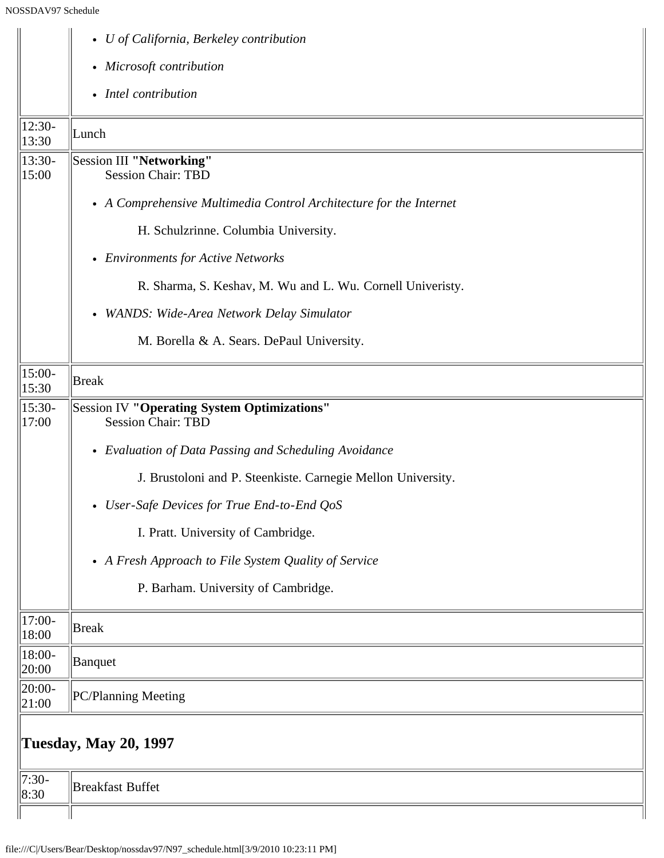|                   | • U of California, Berkeley contribution                                 |
|-------------------|--------------------------------------------------------------------------|
|                   | • Microsoft contribution                                                 |
|                   | • Intel contribution                                                     |
| 12:30-<br>13:30   | Lunch                                                                    |
| $13:30-$<br>15:00 | Session III "Networking"<br><b>Session Chair: TBD</b>                    |
|                   | • A Comprehensive Multimedia Control Architecture for the Internet       |
|                   | H. Schulzrinne. Columbia University.                                     |
|                   | • Environments for Active Networks                                       |
|                   | R. Sharma, S. Keshav, M. Wu and L. Wu. Cornell Univeristy.               |
|                   | • WANDS: Wide-Area Network Delay Simulator                               |
|                   | M. Borella & A. Sears. DePaul University.                                |
| 15:00-<br>15:30   | Break                                                                    |
| $15:30-$<br>17:00 | Session IV "Operating System Optimizations"<br><b>Session Chair: TBD</b> |
|                   | • Evaluation of Data Passing and Scheduling Avoidance                    |
|                   | J. Brustoloni and P. Steenkiste. Carnegie Mellon University.             |
|                   | • User-Safe Devices for True End-to-End QoS                              |
|                   | I. Pratt. University of Cambridge.                                       |
|                   | • A Fresh Approach to File System Quality of Service                     |
|                   | P. Barham. University of Cambridge.                                      |
| $17:00-$<br>18:00 | Break                                                                    |
| 18:00-<br>20:00   | Banquet                                                                  |
| 20:00-<br>21:00   | PC/Planning Meeting                                                      |
|                   | <b>Tuesday, May 20, 1997</b>                                             |
| $7:30-$<br>8:30   | <b>Breakfast Buffet</b>                                                  |
|                   |                                                                          |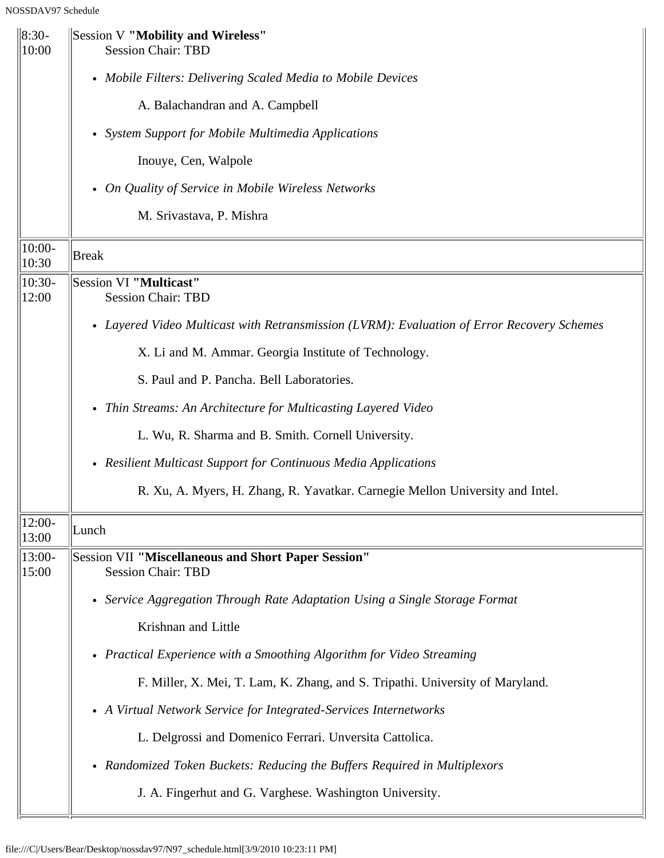| $\ 8:30-$<br>10:00 | Session V "Mobility and Wireless"<br><b>Session Chair: TBD</b>                             |
|--------------------|--------------------------------------------------------------------------------------------|
|                    | • Mobile Filters: Delivering Scaled Media to Mobile Devices                                |
|                    | A. Balachandran and A. Campbell                                                            |
|                    | • System Support for Mobile Multimedia Applications                                        |
|                    | Inouye, Cen, Walpole                                                                       |
|                    | • On Quality of Service in Mobile Wireless Networks                                        |
|                    | M. Srivastava, P. Mishra                                                                   |
| $10:00-$<br>10:30  | <b>Break</b>                                                                               |
| $10:30-$<br>12:00  | Session VI "Multicast"<br><b>Session Chair: TBD</b>                                        |
|                    | • Layered Video Multicast with Retransmission (LVRM): Evaluation of Error Recovery Schemes |
|                    | X. Li and M. Ammar. Georgia Institute of Technology.                                       |
|                    | S. Paul and P. Pancha. Bell Laboratories.                                                  |
|                    | • Thin Streams: An Architecture for Multicasting Layered Video                             |
|                    | L. Wu, R. Sharma and B. Smith. Cornell University.                                         |
|                    | • Resilient Multicast Support for Continuous Media Applications                            |
|                    | R. Xu, A. Myers, H. Zhang, R. Yavatkar. Carnegie Mellon University and Intel.              |
| $12:00-$<br>13:00  | Lunch                                                                                      |
| 13:00-<br>15:00    | Session VII "Miscellaneous and Short Paper Session"<br><b>Session Chair: TBD</b>           |
|                    | Service Aggregation Through Rate Adaptation Using a Single Storage Format<br>$\bullet$     |
|                    | Krishnan and Little                                                                        |
|                    | • Practical Experience with a Smoothing Algorithm for Video Streaming                      |
|                    | F. Miller, X. Mei, T. Lam, K. Zhang, and S. Tripathi. University of Maryland.              |
|                    | • A Virtual Network Service for Integrated-Services Internetworks                          |
|                    | L. Delgrossi and Domenico Ferrari. Unversita Cattolica.                                    |
|                    | Randomized Token Buckets: Reducing the Buffers Required in Multiplexors<br>٠               |
|                    | J. A. Fingerhut and G. Varghese. Washington University.                                    |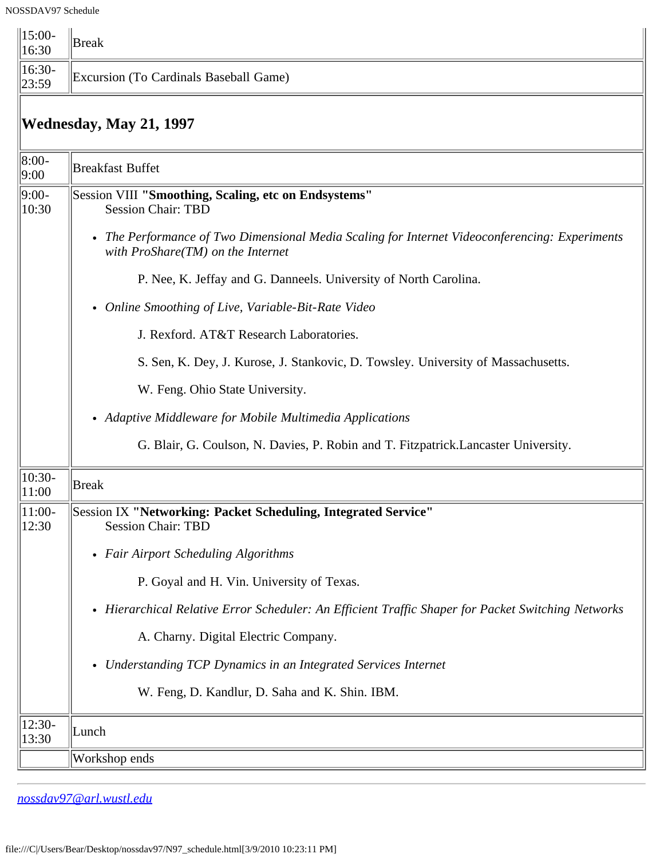| $\ 15:00 -$<br>16:30 | Break                                  |
|----------------------|----------------------------------------|
| $\  16:30 - 23:59$   | Excursion (To Cardinals Baseball Game) |

## **Wednesday, May 21, 1997**

| $ 8:00-$<br> 9:00 | <b>Breakfast Buffet</b>                                                                                                               |
|-------------------|---------------------------------------------------------------------------------------------------------------------------------------|
| $ 9:00-$<br>10:30 | Session VIII "Smoothing, Scaling, etc on Endsystems"<br><b>Session Chair: TBD</b>                                                     |
|                   | • The Performance of Two Dimensional Media Scaling for Internet Videoconferencing: Experiments<br>with $ProShare(TM)$ on the Internet |
|                   | P. Nee, K. Jeffay and G. Danneels. University of North Carolina.                                                                      |
|                   | • Online Smoothing of Live, Variable-Bit-Rate Video                                                                                   |
|                   | J. Rexford. AT&T Research Laboratories.                                                                                               |
|                   | S. Sen, K. Dey, J. Kurose, J. Stankovic, D. Towsley. University of Massachusetts.                                                     |
|                   | W. Feng. Ohio State University.                                                                                                       |
|                   | • Adaptive Middleware for Mobile Multimedia Applications                                                                              |
|                   | G. Blair, G. Coulson, N. Davies, P. Robin and T. Fitzpatrick. Lancaster University.                                                   |
| $10:30-$<br>11:00 | Break                                                                                                                                 |
| $11:00-$<br>12:30 | Session IX "Networking: Packet Scheduling, Integrated Service"<br><b>Session Chair: TBD</b>                                           |
|                   | • Fair Airport Scheduling Algorithms                                                                                                  |
|                   | P. Goyal and H. Vin. University of Texas.                                                                                             |
|                   | • Hierarchical Relative Error Scheduler: An Efficient Traffic Shaper for Packet Switching Networks                                    |
|                   | A. Charny. Digital Electric Company.                                                                                                  |
|                   | • Understanding TCP Dynamics in an Integrated Services Internet                                                                       |
|                   | W. Feng, D. Kandlur, D. Saha and K. Shin. IBM.                                                                                        |
| $12:30-$<br>13:30 | Lunch                                                                                                                                 |
|                   | Workshop ends                                                                                                                         |
|                   |                                                                                                                                       |

*[nossdav97@arl.wustl.edu](mailto:nossdav97@arl.wustl.edu)*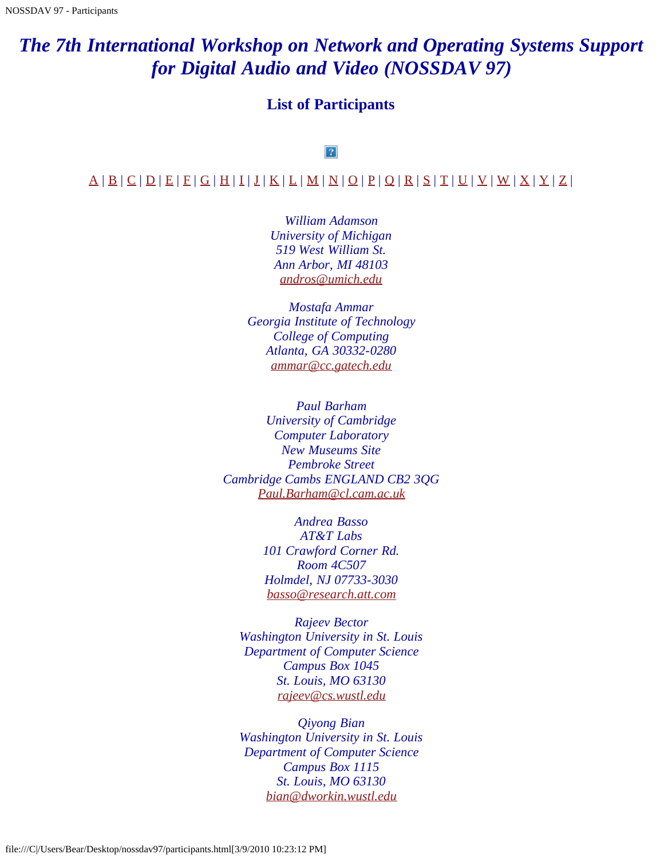## <span id="page-13-0"></span>*The 7th International Workshop on Network and Operating Systems Support for Digital Audio and Video (NOSSDAV 97)*

### **List of Participants**

#### $|2|$

#### <span id="page-13-1"></span> $\mathcal{A} \mid \mathcal{B} \mid \mathcal{C} \mid \mathcal{D} \mid \mathcal{E} \mid \mathcal{F} \mid \mathcal{G} \mid \mathcal{H} \mid \mathcal{I} \mid \mathcal{I} \mid \mathcal{K} \mid \mathcal{L} \mid \mathcal{M} \mid \mathcal{N} \mid \mathcal{Q} \mid \mathcal{P} \mid \mathcal{Q} \mid \mathcal{R} \mid \mathcal{S} \mid \mathcal{T} \mid \mathcal{U} \mid \mathcal{Y} \mid \mathcal{W} \mid \mathcal{X} \mid \mathcal{Y} \mid \mathcal{Z} \mid$  $\mathcal{A} \mid \mathcal{B} \mid \mathcal{C} \mid \mathcal{D} \mid \mathcal{E} \mid \mathcal{F} \mid \mathcal{G} \mid \mathcal{H} \mid \mathcal{I} \mid \mathcal{I} \mid \mathcal{K} \mid \mathcal{L} \mid \mathcal{M} \mid \mathcal{N} \mid \mathcal{Q} \mid \mathcal{P} \mid \mathcal{Q} \mid \mathcal{R} \mid \mathcal{S} \mid \mathcal{T} \mid \mathcal{U} \mid \mathcal{Y} \mid \mathcal{W} \mid \mathcal{X} \mid \mathcal{Y} \mid \mathcal{Z} \mid$  $\mathcal{A} \mid \mathcal{B} \mid \mathcal{C} \mid \mathcal{D} \mid \mathcal{E} \mid \mathcal{F} \mid \mathcal{G} \mid \mathcal{H} \mid \mathcal{I} \mid \mathcal{I} \mid \mathcal{K} \mid \mathcal{L} \mid \mathcal{M} \mid \mathcal{N} \mid \mathcal{Q} \mid \mathcal{P} \mid \mathcal{Q} \mid \mathcal{R} \mid \mathcal{S} \mid \mathcal{T} \mid \mathcal{U} \mid \mathcal{Y} \mid \mathcal{W} \mid \mathcal{X} \mid \mathcal{Y} \mid \mathcal{Z} \mid$  $\mathcal{A} \mid \mathcal{B} \mid \mathcal{C} \mid \mathcal{D} \mid \mathcal{E} \mid \mathcal{F} \mid \mathcal{G} \mid \mathcal{H} \mid \mathcal{I} \mid \mathcal{I} \mid \mathcal{K} \mid \mathcal{L} \mid \mathcal{M} \mid \mathcal{N} \mid \mathcal{Q} \mid \mathcal{P} \mid \mathcal{Q} \mid \mathcal{R} \mid \mathcal{S} \mid \mathcal{T} \mid \mathcal{U} \mid \mathcal{Y} \mid \mathcal{W} \mid \mathcal{X} \mid \mathcal{Y} \mid \mathcal{Z} \mid$  $\mathcal{A} \mid \mathcal{B} \mid \mathcal{C} \mid \mathcal{D} \mid \mathcal{E} \mid \mathcal{F} \mid \mathcal{G} \mid \mathcal{H} \mid \mathcal{I} \mid \mathcal{I} \mid \mathcal{K} \mid \mathcal{L} \mid \mathcal{M} \mid \mathcal{N} \mid \mathcal{Q} \mid \mathcal{P} \mid \mathcal{Q} \mid \mathcal{R} \mid \mathcal{S} \mid \mathcal{T} \mid \mathcal{U} \mid \mathcal{Y} \mid \mathcal{W} \mid \mathcal{X} \mid \mathcal{Y} \mid \mathcal{Z} \mid$  $\mathcal{A} \mid \mathcal{B} \mid \mathcal{C} \mid \mathcal{D} \mid \mathcal{E} \mid \mathcal{F} \mid \mathcal{G} \mid \mathcal{H} \mid \mathcal{I} \mid \mathcal{I} \mid \mathcal{K} \mid \mathcal{L} \mid \mathcal{M} \mid \mathcal{N} \mid \mathcal{Q} \mid \mathcal{P} \mid \mathcal{Q} \mid \mathcal{R} \mid \mathcal{S} \mid \mathcal{T} \mid \mathcal{U} \mid \mathcal{Y} \mid \mathcal{W} \mid \mathcal{X} \mid \mathcal{Y} \mid \mathcal{Z} \mid$  $\mathcal{A} \mid \mathcal{B} \mid \mathcal{C} \mid \mathcal{D} \mid \mathcal{E} \mid \mathcal{F} \mid \mathcal{G} \mid \mathcal{H} \mid \mathcal{I} \mid \mathcal{I} \mid \mathcal{K} \mid \mathcal{L} \mid \mathcal{M} \mid \mathcal{N} \mid \mathcal{Q} \mid \mathcal{P} \mid \mathcal{Q} \mid \mathcal{R} \mid \mathcal{S} \mid \mathcal{T} \mid \mathcal{U} \mid \mathcal{Y} \mid \mathcal{W} \mid \mathcal{X} \mid \mathcal{Y} \mid \mathcal{Z} \mid$  $\mathcal{A} \mid \mathcal{B} \mid \mathcal{C} \mid \mathcal{D} \mid \mathcal{E} \mid \mathcal{F} \mid \mathcal{G} \mid \mathcal{H} \mid \mathcal{I} \mid \mathcal{I} \mid \mathcal{K} \mid \mathcal{L} \mid \mathcal{M} \mid \mathcal{N} \mid \mathcal{Q} \mid \mathcal{P} \mid \mathcal{Q} \mid \mathcal{R} \mid \mathcal{S} \mid \mathcal{T} \mid \mathcal{U} \mid \mathcal{Y} \mid \mathcal{W} \mid \mathcal{X} \mid \mathcal{Y} \mid \mathcal{Z} \mid$  $\mathcal{A} \mid \mathcal{B} \mid \mathcal{C} \mid \mathcal{D} \mid \mathcal{E} \mid \mathcal{F} \mid \mathcal{G} \mid \mathcal{H} \mid \mathcal{I} \mid \mathcal{I} \mid \mathcal{K} \mid \mathcal{L} \mid \mathcal{M} \mid \mathcal{N} \mid \mathcal{Q} \mid \mathcal{P} \mid \mathcal{Q} \mid \mathcal{R} \mid \mathcal{S} \mid \mathcal{T} \mid \mathcal{U} \mid \mathcal{Y} \mid \mathcal{W} \mid \mathcal{X} \mid \mathcal{Y} \mid \mathcal{Z} \mid$  $\mathcal{A} \mid \mathcal{B} \mid \mathcal{C} \mid \mathcal{D} \mid \mathcal{E} \mid \mathcal{F} \mid \mathcal{G} \mid \mathcal{H} \mid \mathcal{I} \mid \mathcal{I} \mid \mathcal{K} \mid \mathcal{L} \mid \mathcal{M} \mid \mathcal{N} \mid \mathcal{Q} \mid \mathcal{P} \mid \mathcal{Q} \mid \mathcal{R} \mid \mathcal{S} \mid \mathcal{T} \mid \mathcal{U} \mid \mathcal{Y} \mid \mathcal{W} \mid \mathcal{X} \mid \mathcal{Y} \mid \mathcal{Z} \mid$  $\mathcal{A} \mid \mathcal{B} \mid \mathcal{C} \mid \mathcal{D} \mid \mathcal{E} \mid \mathcal{F} \mid \mathcal{G} \mid \mathcal{H} \mid \mathcal{I} \mid \mathcal{I} \mid \mathcal{K} \mid \mathcal{L} \mid \mathcal{M} \mid \mathcal{N} \mid \mathcal{Q} \mid \mathcal{P} \mid \mathcal{Q} \mid \mathcal{R} \mid \mathcal{S} \mid \mathcal{T} \mid \mathcal{U} \mid \mathcal{Y} \mid \mathcal{W} \mid \mathcal{X} \mid \mathcal{Y} \mid \mathcal{Z} \mid$

*William Adamson University of Michigan 519 West William St. Ann Arbor, MI 48103 [andros@umich.edu](mailto:andros@umich.edu)*

*Mostafa Ammar Georgia Institute of Technology College of Computing Atlanta, GA 30332-0280 [ammar@cc.gatech.edu](mailto:ammar@cc.gatech.edu)*

<span id="page-13-2"></span>*Paul Barham University of Cambridge Computer Laboratory New Museums Site Pembroke Street Cambridge Cambs ENGLAND CB2 3QG [Paul.Barham@cl.cam.ac.uk](mailto:Paul.Barham@cl.cam.ac.uk)*

> *Andrea Basso AT&T Labs 101 Crawford Corner Rd. Room 4C507 Holmdel, NJ 07733-3030 [basso@research.att.com](mailto:basso@research.att.com)*

*Rajeev Bector Washington University in St. Louis Department of Computer Science Campus Box 1045 St. Louis, MO 63130 [rajeev@cs.wustl.edu](mailto:rajeev@cs.wustl.edu)*

*Qiyong Bian Washington University in St. Louis Department of Computer Science Campus Box 1115 St. Louis, MO 63130 [bian@dworkin.wustl.edu](mailto:bian@dworkin.wustl.edu)*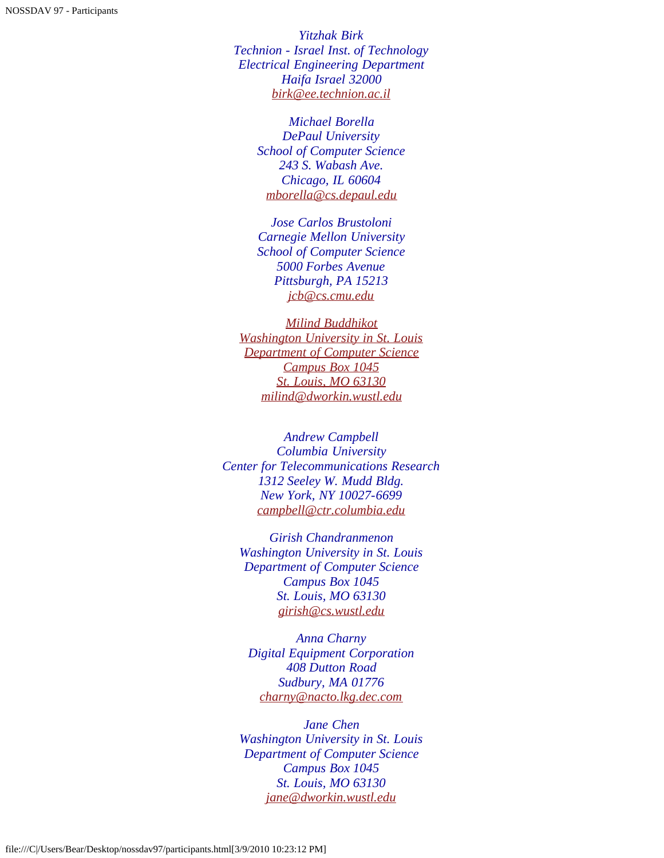*Yitzhak Birk Technion - Israel Inst. of Technology Electrical Engineering Department Haifa Israel 32000 [birk@ee.technion.ac.il](mailto:birk@ee.technion.ac.il)*

> *Michael Borella DePaul University School of Computer Science 243 S. Wabash Ave. Chicago, IL 60604 [mborella@cs.depaul.edu](mailto:mborella@cs.depaul.edu)*

> *Jose Carlos Brustoloni Carnegie Mellon University School of Computer Science 5000 Forbes Avenue Pittsburgh, PA 15213 [jcb@cs.cmu.edu](mailto:jcb@cs.cmu.edu)*

*[Milind Buddhikot](mailto:jcb@cs.cmu.edu) [Washington University in St. Louis](mailto:jcb@cs.cmu.edu) [Department of Computer Science](mailto:jcb@cs.cmu.edu) [Campus Box 1045](mailto:jcb@cs.cmu.edu) [St. Louis, MO 63130](mailto:jcb@cs.cmu.edu) [milind@dworkin.wustl.edu](mailto:milind@dworkin.wustl.edu)*

<span id="page-14-0"></span>*Andrew Campbell Columbia University Center for Telecommunications Research 1312 Seeley W. Mudd Bldg. New York, NY 10027-6699 [campbell@ctr.columbia.edu](mailto:campbell@ctr.columbia.edu)*

*Girish Chandranmenon Washington University in St. Louis Department of Computer Science Campus Box 1045 St. Louis, MO 63130 [girish@cs.wustl.edu](mailto:girish@cs.wustl.edu)*

*Anna Charny Digital Equipment Corporation 408 Dutton Road Sudbury, MA 01776 [charny@nacto.lkg.dec.com](mailto:charny@nacto.lkg.dec.com)*

*Jane Chen Washington University in St. Louis Department of Computer Science Campus Box 1045 St. Louis, MO 63130 [jane@dworkin.wustl.edu](mailto:jane@dworkin.wustl.edu)*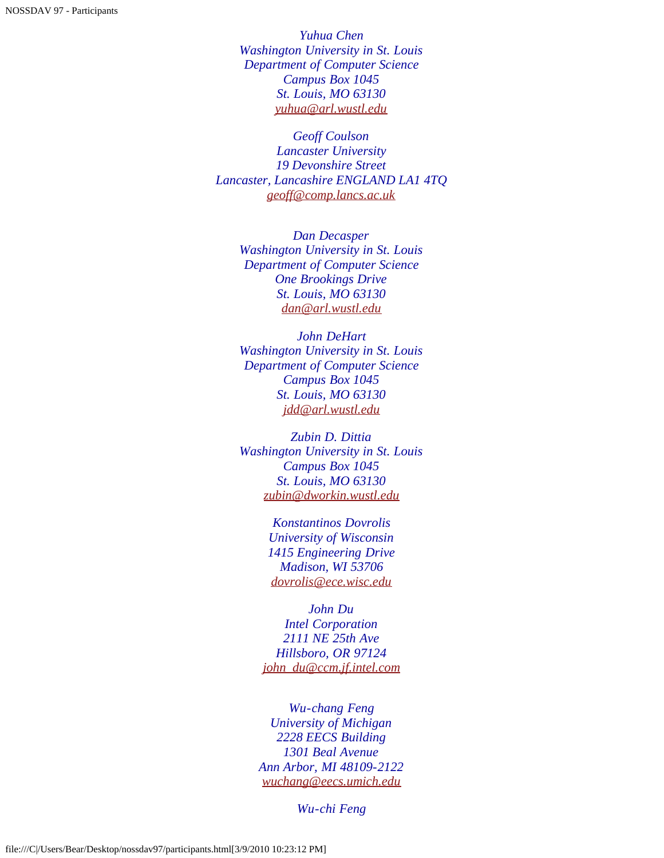*Yuhua Chen Washington University in St. Louis Department of Computer Science Campus Box 1045 St. Louis, MO 63130 [yuhua@arl.wustl.edu](mailto:yuhua@arl.wustl.edu)*

<span id="page-15-0"></span>*Geoff Coulson Lancaster University 19 Devonshire Street Lancaster, Lancashire ENGLAND LA1 4TQ [geoff@comp.lancs.ac.uk](mailto:geoff@comp.lancs.ac.uk)*

> *Dan Decasper Washington University in St. Louis Department of Computer Science One Brookings Drive St. Louis, MO 63130 [dan@arl.wustl.edu](mailto:dan@arl.wustl.edu)*

> *John DeHart Washington University in St. Louis Department of Computer Science Campus Box 1045 St. Louis, MO 63130 [jdd@arl.wustl.edu](mailto:jdd@arl.wustl.edu)*

> *Zubin D. Dittia Washington University in St. Louis Campus Box 1045 St. Louis, MO 63130 [zubin@dworkin.wustl.edu](mailto:zubin@dworkin.wustl.edu)*

> > *Konstantinos Dovrolis University of Wisconsin 1415 Engineering Drive Madison, WI 53706 [dovrolis@ece.wisc.edu](mailto:dovrolis@ece.wisc.edu)*

*John Du Intel Corporation 2111 NE 25th Ave Hillsboro, OR 97124 [john\\_du@ccm.jf.intel.com](mailto:john_du@ccm.jf.intel.com)*

<span id="page-15-1"></span>*Wu-chang Feng University of Michigan 2228 EECS Building 1301 Beal Avenue Ann Arbor, MI 48109-2122 [wuchang@eecs.umich.edu](mailto:wuchang@eecs.umich.edu)*

*Wu-chi Feng*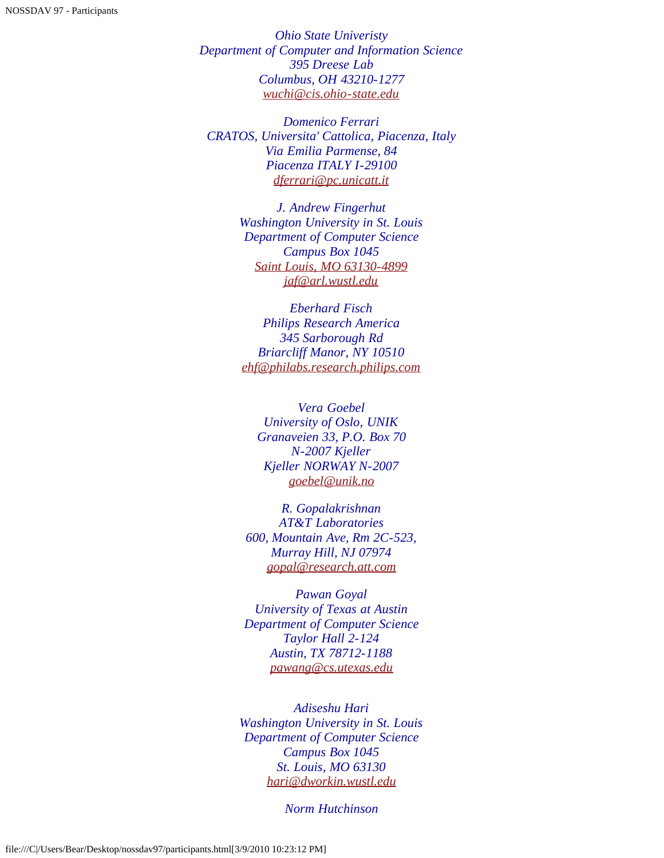*Ohio State Univeristy Department of Computer and Information Science 395 Dreese Lab Columbus, OH 43210-1277 [wuchi@cis.ohio-state.edu](mailto:wuchi@cis.ohio-state.edu)*

*Domenico Ferrari CRATOS, Universita' Cattolica, Piacenza, Italy Via Emilia Parmense, 84 Piacenza ITALY I-29100 [dferrari@pc.unicatt.it](mailto:dferrari@pc.unicatt.it)*

> *J. Andrew Fingerhut Washington University in St. Louis Department of Computer Science Campus Box 1045 [Saint Louis, MO 63130-4899](mailto:) [jaf@arl.wustl.edu](mailto:jaf@arl.wustl.edu)*

<span id="page-16-0"></span>*Eberhard Fisch Philips Research America 345 Sarborough Rd Briarcliff Manor, NY 10510 [ehf@philabs.research.philips.com](mailto:ehf@philabs.research.philips.com)*

*Vera Goebel University of Oslo, UNIK Granaveien 33, P.O. Box 70 N-2007 Kjeller Kjeller NORWAY N-2007 [goebel@unik.no](mailto:goebel@unik.no)*

*R. Gopalakrishnan AT&T Laboratories 600, Mountain Ave, Rm 2C-523, Murray Hill, NJ 07974 [gopal@research.att.com](mailto:gopal@research.att.com)*

*Pawan Goyal University of Texas at Austin Department of Computer Science Taylor Hall 2-124 Austin, TX 78712-1188 [pawang@cs.utexas.edu](mailto:pawang@cs.utexas.edu)*

<span id="page-16-1"></span>*Adiseshu Hari Washington University in St. Louis Department of Computer Science Campus Box 1045 St. Louis, MO 63130 [hari@dworkin.wustl.edu](mailto:hari@dworkin.wustl.edu)*

*Norm Hutchinson*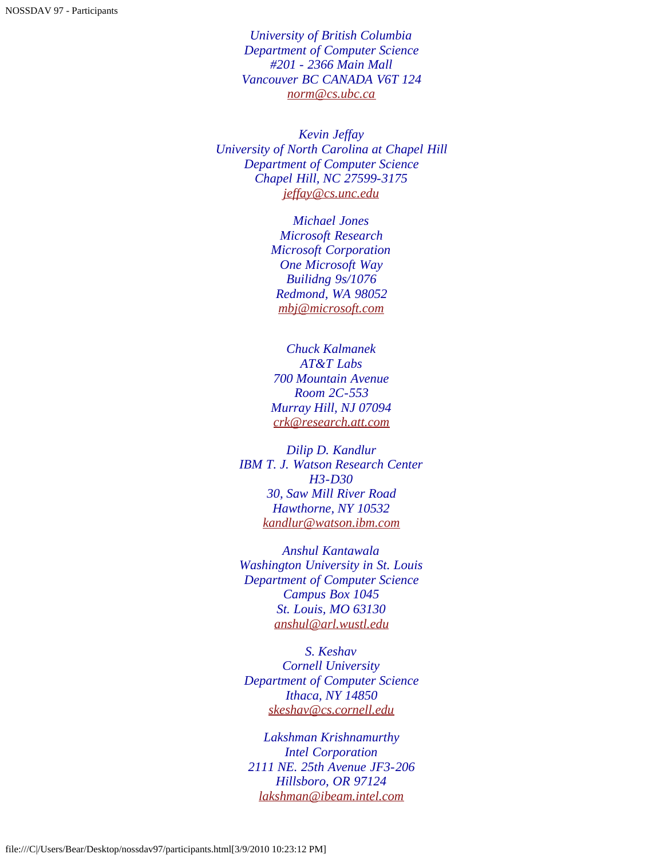*University of British Columbia Department of Computer Science #201 - 2366 Main Mall Vancouver BC CANADA V6T 124 [norm@cs.ubc.ca](mailto:norm@cs.ubc.ca)*

<span id="page-17-0"></span>*Kevin Jeffay University of North Carolina at Chapel Hill Department of Computer Science Chapel Hill, NC 27599-3175 [jeffay@cs.unc.edu](mailto:jeffay@cs.unc.edu)*

> *Michael Jones Microsoft Research Microsoft Corporation One Microsoft Way Builidng 9s/1076 Redmond, WA 98052 [mbj@microsoft.com](mailto:mbj@microsoft.com)*

*Chuck Kalmanek AT&T Labs 700 Mountain Avenue Room 2C-553 Murray Hill, NJ 07094 [crk@research.att.com](mailto:crk@research.att.com)*

<span id="page-17-1"></span>*Dilip D. Kandlur IBM T. J. Watson Research Center H3-D30 30, Saw Mill River Road Hawthorne, NY 10532 [kandlur@watson.ibm.com](mailto:kandlur@watson.ibm.com)*

*Anshul Kantawala Washington University in St. Louis Department of Computer Science Campus Box 1045 St. Louis, MO 63130 [anshul@arl.wustl.edu](mailto:anshul@arl.wustl.edu)*

*S. Keshav Cornell University Department of Computer Science Ithaca, NY 14850 [skeshav@cs.cornell.edu](mailto:skeshav@cs.cornell.edu)*

*Lakshman Krishnamurthy Intel Corporation 2111 NE. 25th Avenue JF3-206 Hillsboro, OR 97124 [lakshman@ibeam.intel.com](mailto:lakshman@ibeam.intel.com)*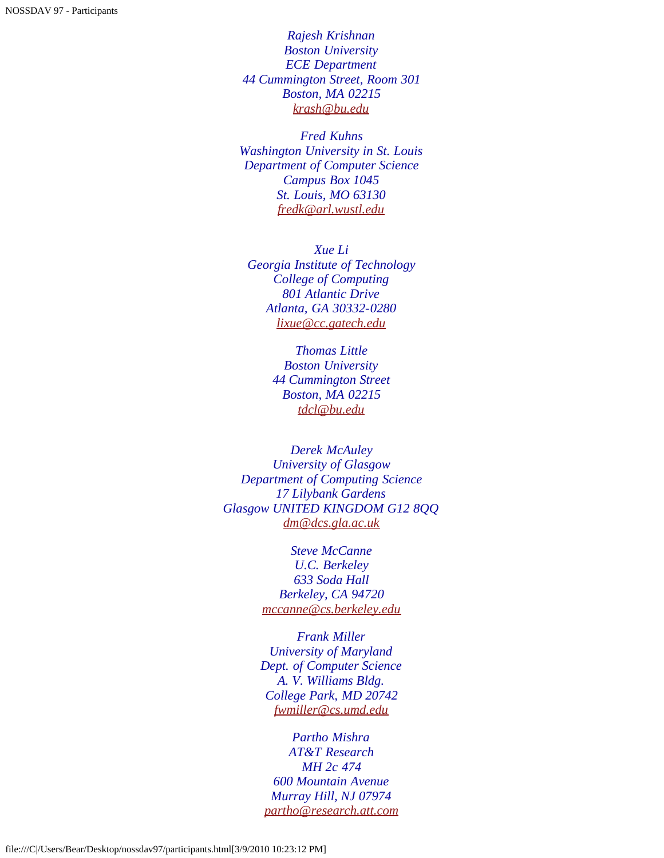*Rajesh Krishnan Boston University ECE Department 44 Cummington Street, Room 301 Boston, MA 02215 [krash@bu.edu](mailto:krash@bu.edu)*

*Fred Kuhns Washington University in St. Louis Department of Computer Science Campus Box 1045 St. Louis, MO 63130 [fredk@arl.wustl.edu](mailto:fredk@arl.wustl.edu)*

<span id="page-18-0"></span>*Xue Li Georgia Institute of Technology College of Computing 801 Atlantic Drive Atlanta, GA 30332-0280 [lixue@cc.gatech.edu](mailto:lixue@cc.gatech.edu)*

> *Thomas Little Boston University 44 Cummington Street Boston, MA 02215 [tdcl@bu.edu](mailto:tdcl@bu.edu)*

<span id="page-18-1"></span>*Derek McAuley University of Glasgow Department of Computing Science 17 Lilybank Gardens Glasgow UNITED KINGDOM G12 8QQ [dm@dcs.gla.ac.uk](mailto:dm@dcs.gla.ac.uk)*

> *Steve McCanne U.C. Berkeley 633 Soda Hall Berkeley, CA 94720 [mccanne@cs.berkeley.edu](mailto:mccanne@cs.berkeley.edu)*

*Frank Miller University of Maryland Dept. of Computer Science A. V. Williams Bldg. College Park, MD 20742 [fwmiller@cs.umd.edu](mailto:fwmiller@cs.umd.edu)*

*Partho Mishra AT&T Research MH 2c 474 600 Mountain Avenue Murray Hill, NJ 07974 [partho@research.att.com](mailto:partho@research.att.com)*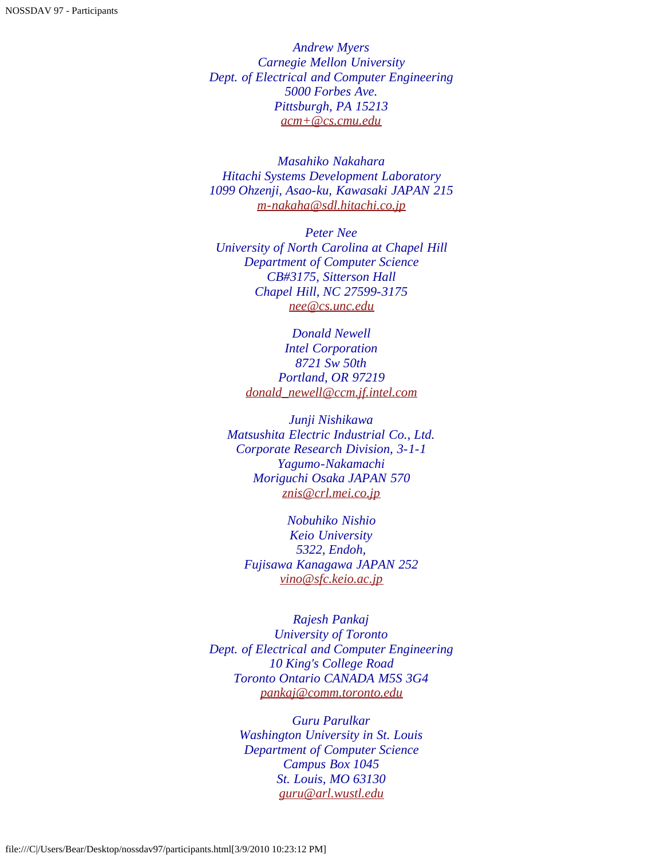*Andrew Myers Carnegie Mellon University Dept. of Electrical and Computer Engineering 5000 Forbes Ave. Pittsburgh, PA 15213 [acm+@cs.cmu.edu](mailto:acm+@cs.cmu.edu)*

<span id="page-19-0"></span>*Masahiko Nakahara Hitachi Systems Development Laboratory 1099 Ohzenji, Asao-ku, Kawasaki JAPAN 215 [m-nakaha@sdl.hitachi.co.jp](mailto:m-nakaha@sdl.hitachi.co.jp)*

*Peter Nee University of North Carolina at Chapel Hill Department of Computer Science CB#3175, Sitterson Hall Chapel Hill, NC 27599-3175 [nee@cs.unc.edu](mailto:nee@cs.unc.edu)*

> *Donald Newell Intel Corporation 8721 Sw 50th Portland, OR 97219 [donald\\_newell@ccm.jf.intel.com](mailto:donald_newell@ccm.jf.intel.com)*

*Junji Nishikawa Matsushita Electric Industrial Co., Ltd. Corporate Research Division, 3-1-1 Yagumo-Nakamachi Moriguchi Osaka JAPAN 570 [znis@crl.mei.co.jp](mailto:znis@crl.mei.co.jp)*

*Nobuhiko Nishio Keio University 5322, Endoh, Fujisawa Kanagawa JAPAN 252 [vino@sfc.keio.ac.jp](mailto:vino@sfc.keio.ac.jp)*

<span id="page-19-1"></span>*Rajesh Pankaj University of Toronto Dept. of Electrical and Computer Engineering 10 King's College Road Toronto Ontario CANADA M5S 3G4 [pankaj@comm.toronto.edu](mailto:pankaj@comm.toronto.edu)*

> *Guru Parulkar Washington University in St. Louis Department of Computer Science Campus Box 1045 St. Louis, MO 63130 [guru@arl.wustl.edu](mailto:guru@arl.wustl.edu)*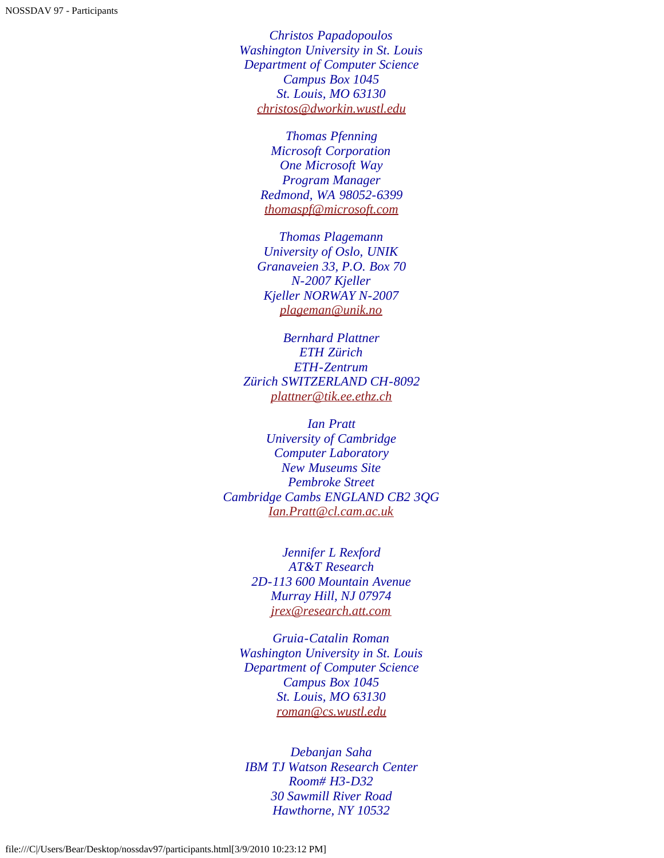*Christos Papadopoulos Washington University in St. Louis Department of Computer Science Campus Box 1045 St. Louis, MO 63130 [christos@dworkin.wustl.edu](mailto:christos@dworkin.wustl.edu)*

> *Thomas Pfenning Microsoft Corporation One Microsoft Way Program Manager Redmond, WA 98052-6399 [thomaspf@microsoft.com](mailto:thomaspf@microsoft.com)*

*Thomas Plagemann University of Oslo, UNIK Granaveien 33, P.O. Box 70 N-2007 Kjeller Kjeller NORWAY N-2007 [plageman@unik.no](mailto:plageman@unik.no)*

*Bernhard Plattner ETH Zürich ETH-Zentrum Zürich SWITZERLAND CH-8092 [plattner@tik.ee.ethz.ch](mailto:plattner@tik.ee.ethz.ch)*

<span id="page-20-0"></span>*Ian Pratt University of Cambridge Computer Laboratory New Museums Site Pembroke Street Cambridge Cambs ENGLAND CB2 3QG [Ian.Pratt@cl.cam.ac.uk](mailto:Ian.Pratt@cl.cam.ac.uk)*

> *Jennifer L Rexford AT&T Research 2D-113 600 Mountain Avenue Murray Hill, NJ 07974 [jrex@research.att.com](mailto:jrex@research.att.com)*

*Gruia-Catalin Roman Washington University in St. Louis Department of Computer Science Campus Box 1045 St. Louis, MO 63130 [roman@cs.wustl.edu](mailto:roman@cs.wustl.edu)*

<span id="page-20-1"></span>*Debanjan Saha IBM TJ Watson Research Center Room# H3-D32 30 Sawmill River Road Hawthorne, NY 10532*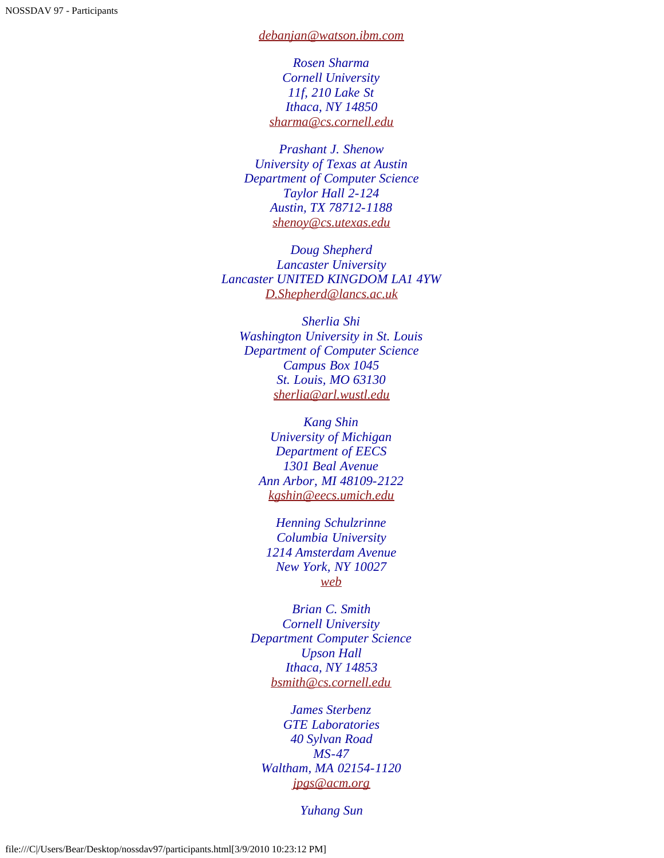*[debanjan@watson.ibm.com](mailto:debanjan@watson.ibm.com)*

*Rosen Sharma Cornell University 11f, 210 Lake St Ithaca, NY 14850 [sharma@cs.cornell.edu](mailto:sharma@cs.cornell.edu)*

*Prashant J. Shenow University of Texas at Austin Department of Computer Science Taylor Hall 2-124 Austin, TX 78712-1188 [shenoy@cs.utexas.edu](mailto:shenoy@cs.utexas.edu)*

*Doug Shepherd Lancaster University Lancaster UNITED KINGDOM LA1 4YW [D.Shepherd@lancs.ac.uk](mailto:D.Shepherd@lancs.ac.uk)*

*Sherlia Shi Washington University in St. Louis Department of Computer Science Campus Box 1045 St. Louis, MO 63130 [sherlia@arl.wustl.edu](mailto:sherlia@arl.wustl.edu)*

*Kang Shin University of Michigan Department of EECS 1301 Beal Avenue Ann Arbor, MI 48109-2122 [kgshin@eecs.umich.edu](mailto:kgshin@eecs.umich.edu)*

*Henning Schulzrinne Columbia University 1214 Amsterdam Avenue New York, NY 10027 [web](javascript:if(confirm()*

*Brian C. Smith Cornell University Department Computer Science Upson Hall Ithaca, NY 14853 [bsmith@cs.cornell.edu](mailto:bsmith@cs.cornell.edu)*

*James Sterbenz GTE Laboratories 40 Sylvan Road MS-47 Waltham, MA 02154-1120 [jpgs@acm.org](mailto:jpgs@acm.org)*

*Yuhang Sun*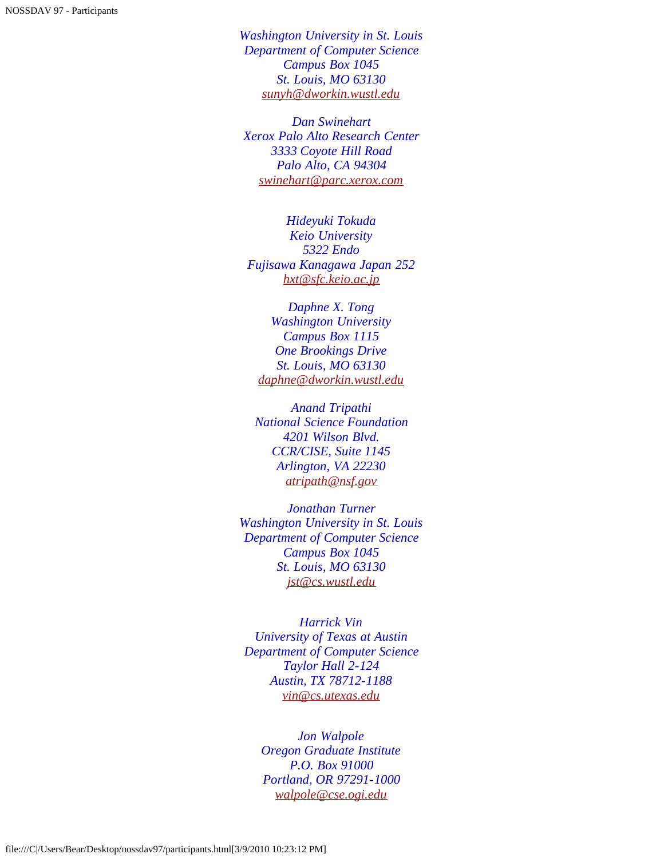*Washington University in St. Louis Department of Computer Science Campus Box 1045 St. Louis, MO 63130 [sunyh@dworkin.wustl.edu](mailto:sunyh@dworkin.wustl.edu)*

*Dan Swinehart Xerox Palo Alto Research Center 3333 Coyote Hill Road Palo Alto, CA 94304 [swinehart@parc.xerox.com](mailto:swinehart@parc.xerox.com)*

<span id="page-22-0"></span>*Hideyuki Tokuda Keio University 5322 Endo Fujisawa Kanagawa Japan 252 [hxt@sfc.keio.ac.jp](mailto:hxt@sfc.keio.ac.jp)*

*Daphne X. Tong Washington University Campus Box 1115 One Brookings Drive St. Louis, MO 63130 [daphne@dworkin.wustl.edu](mailto:daphne@dworkin.wustl.edu)*

*Anand Tripathi National Science Foundation 4201 Wilson Blvd. CCR/CISE, Suite 1145 Arlington, VA 22230 [atripath@nsf.gov](mailto:atripath@nsf.gov)*

*Jonathan Turner Washington University in St. Louis Department of Computer Science Campus Box 1045 St. Louis, MO 63130 [jst@cs.wustl.edu](mailto:jst@cs.wustl.edu)*

<span id="page-22-1"></span>*Harrick Vin University of Texas at Austin Department of Computer Science Taylor Hall 2-124 Austin, TX 78712-1188 [vin@cs.utexas.edu](mailto:vin@cs.utexas.edu)*

<span id="page-22-2"></span>*Jon Walpole Oregon Graduate Institute P.O. Box 91000 Portland, OR 97291-1000 [walpole@cse.ogi.edu](mailto:walpole@cse.ogi.edu)*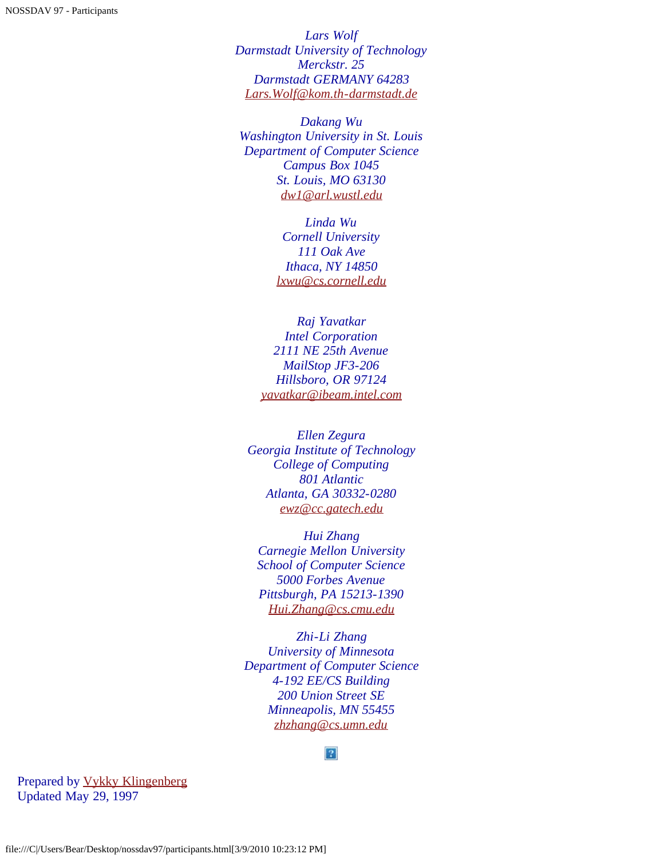*Lars Wolf Darmstadt University of Technology Merckstr. 25 Darmstadt GERMANY 64283 [Lars.Wolf@kom.th-darmstadt.de](mailto:Lars.Wolf@kom.th-darmstadt.de)*

*Dakang Wu Washington University in St. Louis Department of Computer Science Campus Box 1045 St. Louis, MO 63130 [dw1@arl.wustl.edu](mailto:dw1@arl.wustl.edu)*

> *Linda Wu Cornell University 111 Oak Ave Ithaca, NY 14850 [lxwu@cs.cornell.edu](mailto:lxwu@cs.cornell.edu)*

<span id="page-23-0"></span>*Raj Yavatkar Intel Corporation 2111 NE 25th Avenue MailStop JF3-206 Hillsboro, OR 97124 [yavatkar@ibeam.intel.com](mailto:yavatkar@ibeam.intel.com)*

<span id="page-23-1"></span>*Ellen Zegura Georgia Institute of Technology College of Computing 801 Atlantic Atlanta, GA 30332-0280 [ewz@cc.gatech.edu](mailto:ewz@cc.gatech.edu)*

*Hui Zhang Carnegie Mellon University School of Computer Science 5000 Forbes Avenue Pittsburgh, PA 15213-1390 [Hui.Zhang@cs.cmu.edu](mailto:Hui.Zhang@cs.cmu.edu)*

*Zhi-Li Zhang University of Minnesota Department of Computer Science 4-192 EE/CS Building 200 Union Street SE Minneapolis, MN 55455 [zhzhang@cs.umn.edu](mailto:zhzhang@cs.umn.edu)*

#### $\mathbf{P}$

Prepared by [Vykky Klingenberg](mailto:vykky@arl.wustl.edu) Updated May 29, 1997